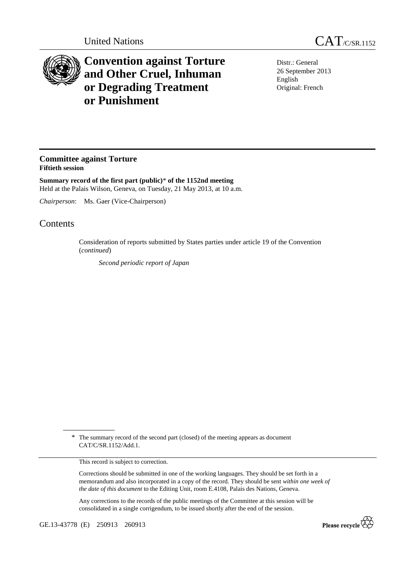

## **Convention against Torture and Other Cruel, Inhuman or Degrading Treatment or Punishment**

Distr.: General 26 September 2013 English Original: French

## **Committee against Torture Fiftieth session**

**Summary record of the first part (public)**\* **of the 1152nd meeting**  Held at the Palais Wilson, Geneva, on Tuesday, 21 May 2013, at 10 a.m.

*Chairperson*: Ms. Gaer (Vice-Chairperson)

## **Contents**

Consideration of reports submitted by States parties under article 19 of the Convention (*continued*)

*Second periodic report of Japan* 

\* The summary record of the second part (closed) of the meeting appears as document CAT/C/SR.1152/Add.1.

This record is subject to correction.

Corrections should be submitted in one of the working languages. They should be set forth in a memorandum and also incorporated in a copy of the record. They should be sent *within one week of the date of this document* to the Editing Unit, room E.4108, Palais des Nations, Geneva.

Any corrections to the records of the public meetings of the Committee at this session will be consolidated in a single corrigendum, to be issued shortly after the end of the session.

GE.13-43778 (E) 250913 260913

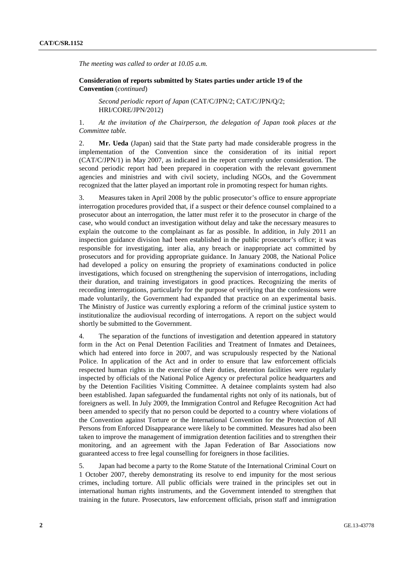*The meeting was called to order at 10.05 a.m.* 

 **Consideration of reports submitted by States parties under article 19 of the Convention** (*continued*)

*Second periodic report of Japan* (CAT/C/JPN/2; CAT/C/JPN/Q/2; HRI/CORE/JPN/2012)

1. *At the invitation of the Chairperson, the delegation of Japan took places at the Committee table.* 

2. **Mr. Ueda** (Japan) said that the State party had made considerable progress in the implementation of the Convention since the consideration of its initial report (CAT/C/JPN/1) in May 2007, as indicated in the report currently under consideration. The second periodic report had been prepared in cooperation with the relevant government agencies and ministries and with civil society, including NGOs, and the Government recognized that the latter played an important role in promoting respect for human rights.

3. Measures taken in April 2008 by the public prosecutor's office to ensure appropriate interrogation procedures provided that, if a suspect or their defence counsel complained to a prosecutor about an interrogation, the latter must refer it to the prosecutor in charge of the case, who would conduct an investigation without delay and take the necessary measures to explain the outcome to the complainant as far as possible. In addition, in July 2011 an inspection guidance division had been established in the public prosecutor's office; it was responsible for investigating, inter alia, any breach or inappropriate act committed by prosecutors and for providing appropriate guidance. In January 2008, the National Police had developed a policy on ensuring the propriety of examinations conducted in police investigations, which focused on strengthening the supervision of interrogations, including their duration, and training investigators in good practices. Recognizing the merits of recording interrogations, particularly for the purpose of verifying that the confessions were made voluntarily, the Government had expanded that practice on an experimental basis. The Ministry of Justice was currently exploring a reform of the criminal justice system to institutionalize the audiovisual recording of interrogations. A report on the subject would shortly be submitted to the Government.

4. The separation of the functions of investigation and detention appeared in statutory form in the Act on Penal Detention Facilities and Treatment of Inmates and Detainees, which had entered into force in 2007, and was scrupulously respected by the National Police. In application of the Act and in order to ensure that law enforcement officials respected human rights in the exercise of their duties, detention facilities were regularly inspected by officials of the National Police Agency or prefectural police headquarters and by the Detention Facilities Visiting Committee. A detainee complaints system had also been established. Japan safeguarded the fundamental rights not only of its nationals, but of foreigners as well. In July 2009, the Immigration Control and Refugee Recognition Act had been amended to specify that no person could be deported to a country where violations of the Convention against Torture or the International Convention for the Protection of All Persons from Enforced Disappearance were likely to be committed. Measures had also been taken to improve the management of immigration detention facilities and to strengthen their monitoring, and an agreement with the Japan Federation of Bar Associations now guaranteed access to free legal counselling for foreigners in those facilities.

5. Japan had become a party to the Rome Statute of the International Criminal Court on 1 October 2007, thereby demonstrating its resolve to end impunity for the most serious crimes, including torture. All public officials were trained in the principles set out in international human rights instruments, and the Government intended to strengthen that training in the future. Prosecutors, law enforcement officials, prison staff and immigration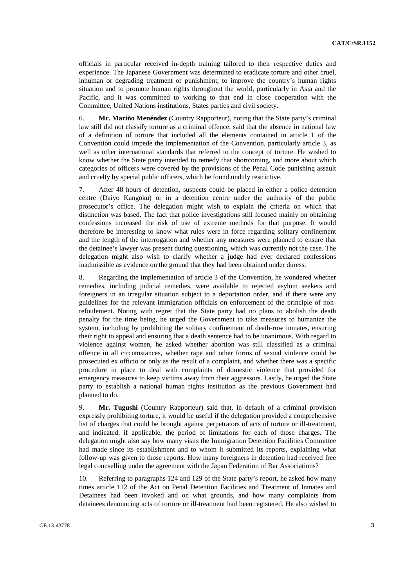officials in particular received in-depth training tailored to their respective duties and experience. The Japanese Government was determined to eradicate torture and other cruel, inhuman or degrading treatment or punishment, to improve the country's human rights situation and to promote human rights throughout the world, particularly in Asia and the Pacific, and it was committed to working to that end in close cooperation with the Committee, United Nations institutions, States parties and civil society.

6. **Mr. Mariño Menéndez** (Country Rapporteur), noting that the State party's criminal law still did not classify torture as a criminal offence, said that the absence in national law of a definition of torture that included all the elements contained in article 1 of the Convention could impede the implementation of the Convention, particularly article 3, as well as other international standards that referred to the concept of torture. He wished to know whether the State party intended to remedy that shortcoming, and more about which categories of officers were covered by the provisions of the Penal Code punishing assault and cruelty by special public officers, which he found unduly restrictive.

7. After 48 hours of detention, suspects could be placed in either a police detention centre (Daiyo Kangoku) or in a detention centre under the authority of the public prosecutor's office. The delegation might wish to explain the criteria on which that distinction was based. The fact that police investigations still focused mainly on obtaining confessions increased the risk of use of extreme methods for that purpose. It would therefore be interesting to know what rules were in force regarding solitary confinement and the length of the interrogation and whether any measures were planned to ensure that the detainee's lawyer was present during questioning, which was currently not the case. The delegation might also wish to clarify whether a judge had ever declared confessions inadmissible as evidence on the ground that they had been obtained under duress.

8. Regarding the implementation of article 3 of the Convention, he wondered whether remedies, including judicial remedies, were available to rejected asylum seekers and foreigners in an irregular situation subject to a deportation order, and if there were any guidelines for the relevant immigration officials on enforcement of the principle of nonrefoulement. Noting with regret that the State party had no plans to abolish the death penalty for the time being, he urged the Government to take measures to humanize the system, including by prohibiting the solitary confinement of death-row inmates, ensuring their right to appeal and ensuring that a death sentence had to be unanimous. With regard to violence against women, he asked whether abortion was still classified as a criminal offence in all circumstances, whether rape and other forms of sexual violence could be prosecuted ex officio or only as the result of a complaint, and whether there was a specific procedure in place to deal with complaints of domestic violence that provided for emergency measures to keep victims away from their aggressors. Lastly, he urged the State party to establish a national human rights institution as the previous Government had planned to do.

9. **Mr. Tugushi** (Country Rapporteur) said that, in default of a criminal provision expressly prohibiting torture, it would be useful if the delegation provided a comprehensive list of charges that could be brought against perpetrators of acts of torture or ill-treatment, and indicated, if applicable, the period of limitations for each of those charges. The delegation might also say how many visits the Immigration Detention Facilities Committee had made since its establishment and to whom it submitted its reports, explaining what follow-up was given to those reports. How many foreigners in detention had received free legal counselling under the agreement with the Japan Federation of Bar Associations?

10. Referring to paragraphs 124 and 129 of the State party's report, he asked how many times article 112 of the Act on Penal Detention Facilities and Treatment of Inmates and Detainees had been invoked and on what grounds, and how many complaints from detainees denouncing acts of torture or ill-treatment had been registered. He also wished to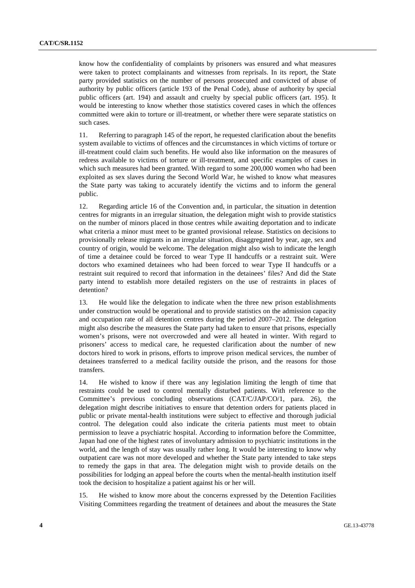know how the confidentiality of complaints by prisoners was ensured and what measures were taken to protect complainants and witnesses from reprisals. In its report, the State party provided statistics on the number of persons prosecuted and convicted of abuse of authority by public officers (article 193 of the Penal Code), abuse of authority by special public officers (art. 194) and assault and cruelty by special public officers (art. 195). It would be interesting to know whether those statistics covered cases in which the offences committed were akin to torture or ill-treatment, or whether there were separate statistics on such cases.

11. Referring to paragraph 145 of the report, he requested clarification about the benefits system available to victims of offences and the circumstances in which victims of torture or ill-treatment could claim such benefits. He would also like information on the measures of redress available to victims of torture or ill-treatment, and specific examples of cases in which such measures had been granted. With regard to some 200,000 women who had been exploited as sex slaves during the Second World War, he wished to know what measures the State party was taking to accurately identify the victims and to inform the general public.

12. Regarding article 16 of the Convention and, in particular, the situation in detention centres for migrants in an irregular situation, the delegation might wish to provide statistics on the number of minors placed in those centres while awaiting deportation and to indicate what criteria a minor must meet to be granted provisional release. Statistics on decisions to provisionally release migrants in an irregular situation, disaggregated by year, age, sex and country of origin, would be welcome. The delegation might also wish to indicate the length of time a detainee could be forced to wear Type II handcuffs or a restraint suit. Were doctors who examined detainees who had been forced to wear Type II handcuffs or a restraint suit required to record that information in the detainees' files? And did the State party intend to establish more detailed registers on the use of restraints in places of detention?

13. He would like the delegation to indicate when the three new prison establishments under construction would be operational and to provide statistics on the admission capacity and occupation rate of all detention centres during the period 2007–2012. The delegation might also describe the measures the State party had taken to ensure that prisons, especially women's prisons, were not overcrowded and were all heated in winter. With regard to prisoners' access to medical care, he requested clarification about the number of new doctors hired to work in prisons, efforts to improve prison medical services, the number of detainees transferred to a medical facility outside the prison, and the reasons for those transfers.

14. He wished to know if there was any legislation limiting the length of time that restraints could be used to control mentally disturbed patients. With reference to the Committee's previous concluding observations (CAT/C/JAP/CO/1, para. 26), the delegation might describe initiatives to ensure that detention orders for patients placed in public or private mental-health institutions were subject to effective and thorough judicial control. The delegation could also indicate the criteria patients must meet to obtain permission to leave a psychiatric hospital. According to information before the Committee, Japan had one of the highest rates of involuntary admission to psychiatric institutions in the world, and the length of stay was usually rather long. It would be interesting to know why outpatient care was not more developed and whether the State party intended to take steps to remedy the gaps in that area. The delegation might wish to provide details on the possibilities for lodging an appeal before the courts when the mental-health institution itself took the decision to hospitalize a patient against his or her will.

15. He wished to know more about the concerns expressed by the Detention Facilities Visiting Committees regarding the treatment of detainees and about the measures the State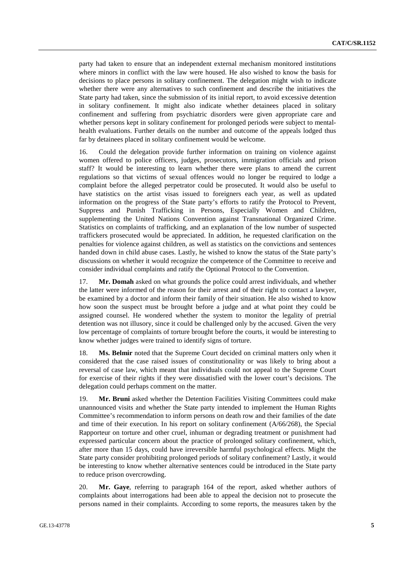party had taken to ensure that an independent external mechanism monitored institutions where minors in conflict with the law were housed. He also wished to know the basis for decisions to place persons in solitary confinement. The delegation might wish to indicate whether there were any alternatives to such confinement and describe the initiatives the State party had taken, since the submission of its initial report, to avoid excessive detention in solitary confinement. It might also indicate whether detainees placed in solitary confinement and suffering from psychiatric disorders were given appropriate care and whether persons kept in solitary confinement for prolonged periods were subject to mentalhealth evaluations. Further details on the number and outcome of the appeals lodged thus far by detainees placed in solitary confinement would be welcome.

16. Could the delegation provide further information on training on violence against women offered to police officers, judges, prosecutors, immigration officials and prison staff? It would be interesting to learn whether there were plans to amend the current regulations so that victims of sexual offences would no longer be required to lodge a complaint before the alleged perpetrator could be prosecuted. It would also be useful to have statistics on the artist visas issued to foreigners each year, as well as updated information on the progress of the State party's efforts to ratify the Protocol to Prevent, Suppress and Punish Trafficking in Persons, Especially Women and Children, supplementing the United Nations Convention against Transnational Organized Crime. Statistics on complaints of trafficking, and an explanation of the low number of suspected traffickers prosecuted would be appreciated. In addition, he requested clarification on the penalties for violence against children, as well as statistics on the convictions and sentences handed down in child abuse cases. Lastly, he wished to know the status of the State party's discussions on whether it would recognize the competence of the Committee to receive and consider individual complaints and ratify the Optional Protocol to the Convention.

17. **Mr. Domah** asked on what grounds the police could arrest individuals, and whether the latter were informed of the reason for their arrest and of their right to contact a lawyer, be examined by a doctor and inform their family of their situation. He also wished to know how soon the suspect must be brought before a judge and at what point they could be assigned counsel. He wondered whether the system to monitor the legality of pretrial detention was not illusory, since it could be challenged only by the accused. Given the very low percentage of complaints of torture brought before the courts, it would be interesting to know whether judges were trained to identify signs of torture.

18. **Ms. Belmir** noted that the Supreme Court decided on criminal matters only when it considered that the case raised issues of constitutionality or was likely to bring about a reversal of case law, which meant that individuals could not appeal to the Supreme Court for exercise of their rights if they were dissatisfied with the lower court's decisions. The delegation could perhaps comment on the matter.

19. **Mr. Bruni** asked whether the Detention Facilities Visiting Committees could make unannounced visits and whether the State party intended to implement the Human Rights Committee's recommendation to inform persons on death row and their families of the date and time of their execution. In his report on solitary confinement (A/66/268), the Special Rapporteur on torture and other cruel, inhuman or degrading treatment or punishment had expressed particular concern about the practice of prolonged solitary confinement, which, after more than 15 days, could have irreversible harmful psychological effects. Might the State party consider prohibiting prolonged periods of solitary confinement? Lastly, it would be interesting to know whether alternative sentences could be introduced in the State party to reduce prison overcrowding.

20. **Mr. Gaye**, referring to paragraph 164 of the report, asked whether authors of complaints about interrogations had been able to appeal the decision not to prosecute the persons named in their complaints. According to some reports, the measures taken by the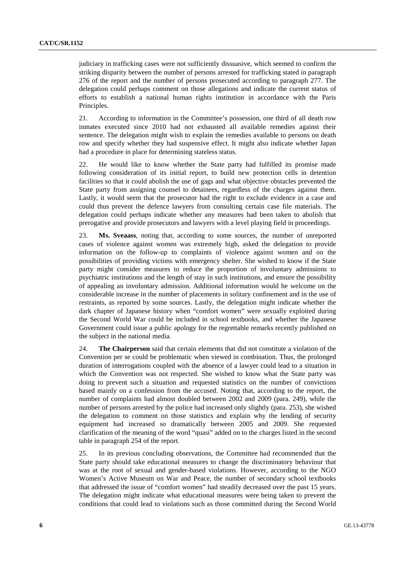judiciary in trafficking cases were not sufficiently dissuasive, which seemed to confirm the striking disparity between the number of persons arrested for trafficking stated in paragraph 276 of the report and the number of persons prosecuted according to paragraph 277. The delegation could perhaps comment on those allegations and indicate the current status of efforts to establish a national human rights institution in accordance with the Paris Principles.

21. According to information in the Committee's possession, one third of all death row inmates executed since 2010 had not exhausted all available remedies against their sentence. The delegation might wish to explain the remedies available to persons on death row and specify whether they had suspensive effect. It might also indicate whether Japan had a procedure in place for determining stateless status.

22. He would like to know whether the State party had fulfilled its promise made following consideration of its initial report, to build new protection cells in detention facilities so that it could abolish the use of gags and what objective obstacles prevented the State party from assigning counsel to detainees, regardless of the charges against them. Lastly, it would seem that the prosecutor had the right to exclude evidence in a case and could thus prevent the defence lawyers from consulting certain case file materials. The delegation could perhaps indicate whether any measures had been taken to abolish that prerogative and provide prosecutors and lawyers with a level playing field in proceedings.

23. **Ms. Sveaass**, noting that, according to some sources, the number of unreported cases of violence against women was extremely high, asked the delegation to provide information on the follow-up to complaints of violence against women and on the possibilities of providing victims with emergency shelter. She wished to know if the State party might consider measures to reduce the proportion of involuntary admissions to psychiatric institutions and the length of stay in such institutions, and ensure the possibility of appealing an involuntary admission. Additional information would be welcome on the considerable increase in the number of placements in solitary confinement and in the use of restraints, as reported by some sources. Lastly, the delegation might indicate whether the dark chapter of Japanese history when "comfort women" were sexually exploited during the Second World War could be included in school textbooks, and whether the Japanese Government could issue a public apology for the regrettable remarks recently published on the subject in the national media.

24. **The Chairperson** said that certain elements that did not constitute a violation of the Convention per se could be problematic when viewed in combination. Thus, the prolonged duration of interrogations coupled with the absence of a lawyer could lead to a situation in which the Convention was not respected. She wished to know what the State party was doing to prevent such a situation and requested statistics on the number of convictions based mainly on a confession from the accused. Noting that, according to the report, the number of complaints had almost doubled between 2002 and 2009 (para. 249), while the number of persons arrested by the police had increased only slightly (para. 253), she wished the delegation to comment on those statistics and explain why the lending of security equipment had increased so dramatically between 2005 and 2009. She requested clarification of the meaning of the word "quasi" added on to the charges listed in the second table in paragraph 254 of the report.

25. In its previous concluding observations, the Committee had recommended that the State party should take educational measures to change the discriminatory behaviour that was at the root of sexual and gender-based violations. However, according to the NGO Women's Active Museum on War and Peace, the number of secondary school textbooks that addressed the issue of "comfort women" had steadily decreased over the past 15 years. The delegation might indicate what educational measures were being taken to prevent the conditions that could lead to violations such as those committed during the Second World